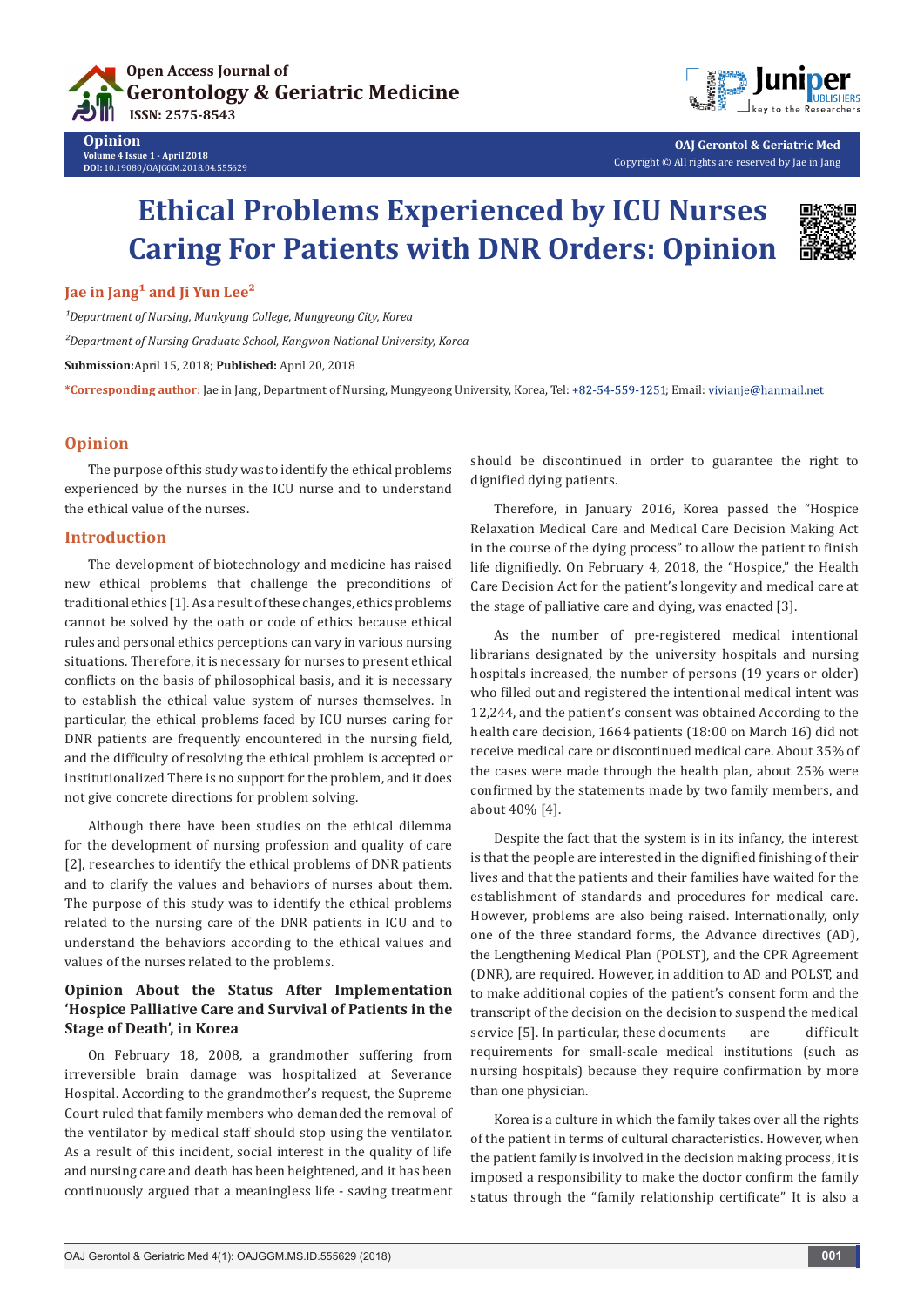



**OAJ Gerontol & Geriatric Med** Copyright © All rights are reserved by Jae in Jang

# **Ethical Problems Experienced by ICU Nurses Caring For Patients with DNR Orders: Opinion**



## **Jae in Jang<sup>1</sup> and Ii Yun Lee<sup>2</sup>**

**Opinion**

**Volume 4 Issue 1 - April 2018 DOI:** [10.19080/OAJGGM.2018.04.555629](http://dx.doi.org/10.19080/OAJGGM.2018.04.555629)

*¹Department of Nursing, Munkyung College, Mungyeong City, Korea*

*²Department of Nursing Graduate School, Kangwon National University, Korea*

**Submission:**April 15, 2018; **Published:** April 20, 2018

\*Corresponding author: Jae in Jang, Department of Nursing, Mungyeong University, Korea, Tel: +82-54-559-1251; Email: vivianje@hanmail.net

#### **Opinion**

The purpose of this study was to identify the ethical problems experienced by the nurses in the ICU nurse and to understand the ethical value of the nurses.

### **Introduction**

The development of biotechnology and medicine has raised new ethical problems that challenge the preconditions of traditional ethics [1]. As a result of these changes, ethics problems cannot be solved by the oath or code of ethics because ethical rules and personal ethics perceptions can vary in various nursing situations. Therefore, it is necessary for nurses to present ethical conflicts on the basis of philosophical basis, and it is necessary to establish the ethical value system of nurses themselves. In particular, the ethical problems faced by ICU nurses caring for DNR patients are frequently encountered in the nursing field, and the difficulty of resolving the ethical problem is accepted or institutionalized There is no support for the problem, and it does not give concrete directions for problem solving.

Although there have been studies on the ethical dilemma for the development of nursing profession and quality of care [2], researches to identify the ethical problems of DNR patients and to clarify the values and behaviors of nurses about them. The purpose of this study was to identify the ethical problems related to the nursing care of the DNR patients in ICU and to understand the behaviors according to the ethical values and values of the nurses related to the problems.

## **Opinion About the Status After Implementation 'Hospice Palliative Care and Survival of Patients in the Stage of Death', in Korea**

On February 18, 2008, a grandmother suffering from irreversible brain damage was hospitalized at Severance Hospital. According to the grandmother's request, the Supreme Court ruled that family members who demanded the removal of the ventilator by medical staff should stop using the ventilator. As a result of this incident, social interest in the quality of life and nursing care and death has been heightened, and it has been continuously argued that a meaningless life - saving treatment should be discontinued in order to guarantee the right to dignified dying patients.

Therefore, in January 2016, Korea passed the "Hospice Relaxation Medical Care and Medical Care Decision Making Act in the course of the dying process" to allow the patient to finish life dignifiedly. On February 4, 2018, the "Hospice," the Health Care Decision Act for the patient's longevity and medical care at the stage of palliative care and dying, was enacted [3].

As the number of pre-registered medical intentional librarians designated by the university hospitals and nursing hospitals increased, the number of persons (19 years or older) who filled out and registered the intentional medical intent was 12,244, and the patient's consent was obtained According to the health care decision, 1664 patients (18:00 on March 16) did not receive medical care or discontinued medical care. About 35% of the cases were made through the health plan, about 25% were confirmed by the statements made by two family members, and about 40% [4].

Despite the fact that the system is in its infancy, the interest is that the people are interested in the dignified finishing of their lives and that the patients and their families have waited for the establishment of standards and procedures for medical care. However, problems are also being raised. Internationally, only one of the three standard forms, the Advance directives (AD), the Lengthening Medical Plan (POLST), and the CPR Agreement (DNR), are required. However, in addition to AD and POLST, and to make additional copies of the patient's consent form and the transcript of the decision on the decision to suspend the medical service [5]. In particular, these documents are difficult requirements for small-scale medical institutions (such as nursing hospitals) because they require confirmation by more than one physician.

Korea is a culture in which the family takes over all the rights of the patient in terms of cultural characteristics. However, when the patient family is involved in the decision making process, it is imposed a responsibility to make the doctor confirm the family status through the "family relationship certificate" It is also a